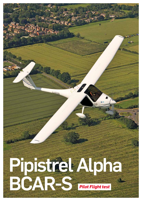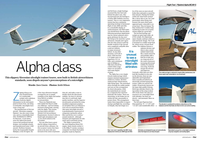and fed from a single fuselagemounted fifty-litre fuel tank behind the pilot's seat. Also incorporated into the fuselage is a Galaxy BRS (ballistic recovery system). This is a very impressive system that has a minimum operating envelope in horizontal flight of only 200ft and 25kt. In a remarkable display of understatement, the POH states 'you should know that the phase following parachute deployment may be a great unknown and a great adventure for the crew'. Not being in the mood for a great adventure, Deepak and I agree that the only reason to pull the handle would be if the aircraft were completely unflyable after a mid-air collision

or major structural failure. In any other situation, we'll ride it down. With the best L/D (glide ratio) an impressive 15:1 at 64kt, and a minimum sink of 460fpm at 58kt there should be a field within range where we can park it with some degree of grace.

The Alpha has a very simple tricycle undercarriage which requires minimal maintenance− useful on a trainer. All three undercarriage wheels feature tight fitting spats. The nosewheel steers through the rudder pedals and uses an oleo arrangement for shock absorption, while the mainwheels are carried by a composite bow and have hydraulic disc brakes. These are interesting, as the brakes are set within the hub, presumably to protect them. This arrangement makes them impossible to inspect during a preflight but, according to Deepak, they last longer as a



The full-span flaperons have three positions: '0', ' $+1$ ' (15°) and  $'+2'$  (25°) and considerable effort  $\rightarrow$ 

lot of the wear on most aircraft brake discs and pads is caused by dust and grit. Putting the brakes within the wheel hubs seemed like a clever idea to me, but (and particularly when flying trial lessons) the main wheel spats appeared quite vulnerable to an errant boot. They do feature 'No Step' stickers but I couldn't help wondering if some sort of quick release might be a good idea.

ipping along at an<br>
easy hundred knots<br>
in a comfortable<br>
cockpit with a pletholo<br>
of precise digital<br>
information on the instrument ipping along at an easy hundred knots in a comfortable cockpit with a plethora of precise digital panel in front of me, one thing is irrefutable: microlights have come a long way!

The forward fuselage and cockpit are quite large while, aft of the cockpit, the empennage tapers sharply, making it almost a 'pod-and-boom' design. The T-tail is mounted on a mildly swept-back fin, which carries a broad-chord rudder. The tailplane features a

separate elevator and

there is also a metal tailskid which looks like a small ventral fin and probably adds a little bit of side area on a long arm aft of the centre of pressure, increasing directional stability for minimal extra drag. Pushrods actuate the elevator and flaperons.

Curiously, while there are what look like moulded-in trim tabs on the elevator, these are nonadjustable and longitudinal trim is actually provided by an electrically-actuated spring bias system. Cables are used for the rudder. Of particular interest are the large triple-paddle Schemp-Hirth type airbrakes fitted to the top surface of the wing at about 45% of the chord. Not only is it unusual to see a microlight fitted with airbrakes, but these are electric−and automatic! More on these later.

Near 'zero-zero' capability: the BRS 'chute deployment minima are 200ft agl and 25kt



The undercarriage is claimed to require little maintenance, but those spats look vulnerable to 'an errant boot'



The elevator is cambered to produce a downforce on the tailplane and the fixed tabs are there to trim out control loading



Airbrakes are designed to pop out automatically when the flaperons are fully drooped



Neat detail unusual for a microlight: combined wing-tip navigation and landing lights

It is unusual to see a microlight fitted with airbrakes

The manufacturer of this test aircraft−Slovenian company Pipistrel−has also come a long way, and in a remarkably short time. Established in 1989 by Ivo Boscarol, in just thirty years the Ajdovscina based concern has produced myriad designs, won multiple awards, and manufactured some 1,500 aircraft. FlyAbout Aviation, led by the irrepressible Deepak Mahajan, is the UK Agent. On

a fine June afternoon Deepak arranged for me to sample examples of the Alpha and similar Virus SW121 at Saltby in Leicestershire.

These two Pipistrels may look similar but they're really very different−and I'm looking forward to flying both, starting with the Alpha. This version has been built to BCAR-S (British Civil Airworthiness Requirements, Section S refers to Small Light Aeroplanes) and is very much aimed at the UK market.

You can often learn a great deal by taking a long look at an aircraft from a distance. On this occasion I notice that there seems to be more side area forward of the centre of pressure

than aft, and make a note to double-check the directional stability. Up close it's obvious that this is a well-built, highquality machine, and the superior aerodynamics permitted by using moulded components produce an aeroplane that is so efficient it even won an award from NASA. Like many microlight aircraft it is predominantly constructed of composites (primarily carbon fibre and Kevlar over a carbon/ aramid sandwich−although titanium and magnesium are also used) and is extremely strong.

The Alpha is powered by the near-ubiquitous Rotax 912 engine. Quite closely cowled, it is the 80hp 'S' variant, turning a composite two-blade fixed pitch propeller made by Pipistrel,



# Alpha class

**This slippery Slovenian ultralight trainer/tourer, now built to British airworthiness standards, soon dispels anyone's preconceptions of a microlight**

## Words: **Dave Unwin** Photos: **Keith Wilson**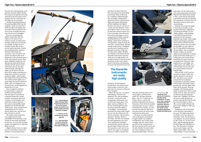and then the large flap lever. The instruments are particularly interesting. Made in Slovenia by a company called Kanardia they are highly sophisticated electronic devices which present flight and engine information in both analogue and digital formats. The top row consists of a large ASI and altimeter, with a unit called a 'Horis' in the centre. It's fed from various sensors via a CAN (Controller Area Network) bus and its main page is a very comprehensive AHRS (Attitude Heading Reference System) display, which shows attitude in roll and pitch, airspeed (both IAS and TAS), vertical speed, altitude, outside temperature, windspeed and direction, heading and the barometric setting. It also has DI and g-meter pages. Deepak was fulsome in his praise for the Kanardia instruments and they really are very high quality. An excellent feature is that each click clockwise on the rotary knobs

fitted to the Horis and altimeter increases the barometric pressure

setting by one hectopascal. Furthermore, the tactile rotary action makes it obvious to the pilot that the pressure setting has been changed.

Below the top row is a central EMS display, with the trim indicator, VSI, and tachometer to its left, a transceiver and transponder underneath, and an iPad mini-sized space to its right, next to a USB port. It's all very well thought-out and− bearing in mind the Alpha is a microlight−extraordinarily powerful, but what really caught my eye was the selector for the electric airbrakes. This has three positions: 'Extend', 'Retract', and 'Auto'. The first two settings are self-explanatory, but with 'Auto' selected the airbrakes automatically extend when the second stage of flap is lowered. This system is a new one on me, which I am eager to investigate. However, I make a mental note







that their limiting speed is not overly high at seventy knots, while Vfe, the flap extension limit−also 70−is quite low too. Finally, there is a good oldfashioned slip ball at the base of the panel, where both the student and instructor can see it. This is a fine facet for a trainer, as is the fact that the throttle, flap lever and trim switch can all be easily reached from either seat.

Joining up with Al and Keith in the EuroFox cameraship is not easy. The high wing means the field of view isn't great for formation work. The airframe is very slippery, the prop is pitched for the cruise (i.e. on the coarse side), and the limiting speeds for both flaps and airbrakes are low. The thermals are making the air quite bumpy, and the Alpha is quite light, with a low wing-loading. I've got practically  $\rightarrow$ 

The doors are held closed by three locking pins actuated by a single handle. An excellent arrangement, but I wasn't quite so happy with the tinted Lexan used for all the transparencies. We don't get that much sun in the UK and, frankly, I'd much rather just wear sunglasses when it is uncomfortably bright. The tint is

TOP TO BOTTOM: the 'handbrake' lever operates the flaperons, airbrakes being extended at '+2' when set to 'auto'; combined brake/parking brake hand lever; and (from left in photo) electric trim switch and the beautifully engineered throttle and choke levers quite dark. On the other hand, a very interesting aspect that shows Pipistrel does think about things is that, as the electric fuel pump is generally used only for priming the carburettor, it doesn't have an operating switch as such, just a circuit breaker.

Taxying out reveals the Alpha is very easy to handle on the ground. Steering is supplied by a pivoting nosewheel (via the rudder pedals), while braking is provided by powerful but progressive lever-operated hydraulic disc brakes. With 160kg of Dave and Deepak and thirty litres of fuel on board (the fuel quantity is shown very accurately on the EMS) we were right on the 472.5kg MAUW (maximum all-up weight). You've probably already worked out that the Alpha can be registered in various forms around the world, up to a 550kg LSA, each variant being essentially the same except for the paperwork. However, when registered as a microlight, the useful load is only 186kg. Put a well-fed pilot on each seat and you cannot fill the tank and remain legal.

ABOVE: well-positioned digital-analogue flight instruments top the very 21st century panel. Design and quality of the choke, throttle and brake quadrants is superb

LEFT: electrics are all grouped on the central pedestal

RIGHT: seat back tilted forward to reveal the port side baggage bay, placarded for 10kg max



With an OAT of 22°C and an elevation of almost 500ft, the density altitude is well above ISA, and there's just a gentle crosswind from starboard. Acceleration is excellent. Rotate at forty knots after quite a short ground roll, and the Alpha fairly leaps off the ground. Flaps up promptly (the limiting speeds really are quite low) and an initial climb at the Vy (best rate speed) of 73kt has the VSI showing a shade over 1,200fpm. Of course, the nose is really pitched up, greatly reducing the field of view, but even lowering it to more like a cruise-climb attitude still gives about 700fpm at 95kt and 5,000rpm.

# The Kanardia instruments are really high quality

has gone into reducing drag, as the gaps are all nicely sealed. Finally, the wings can be quickly and easily removed as the fuel tank is in the fuselage and the connections for the flaperons are automatic.

Another fascinating feature is the position lights built into the wingtips. These very powerful LEDs actually look opaque and colourless when turned off, but once on are so bright that they can even be seen in daylight.

By now I was getting the distinct impression that the Alpha is very much a 21st century aircraft, an impression strongly reinforced on entering the cockpit. Cockpit access is excellent as the sills are low and the gull-wing doors (which are essentially giant windows, skinned with Lexan) are enormous. Ease of ingress and egress can only become more important as the economic power of the 'grey pound' grows! Once open, elegantly simple pin and clip devices hold up the doors, and the aircraft can be taxied with them open on hot days. Unfortunately, although the Alpha can be flown with one door off by simply removing two hinge pins, the doors cannot be opened in flight−which makes the omission of a DV panel worse. The rudder pedals adjust over a good range and can be altered in flight. Up to ten kilograms can be carried in a small baggage bay behind the P1's seat.

Once strapped in with the H-type harness, I study the controls and instruments. The neat panel is mounted in a binnacle braced by a small column carrying the electrical switches, circuit breakers and cabin heat control. Between the seats is a beautifully made quadrant for the throttle and choke levers, with a small switch immediately aft of it for the electric pitch trim, and the fuel shut-off valve to its left.

The choke seems somewhat over-engineered, but the advantages of not putting a trim switch on each stick top should be obvious−it is not only cheaper, simpler and lighter but is also less likely to break.

Slightly further back is a single lever for the brakes (which also doubles as the parking brake)



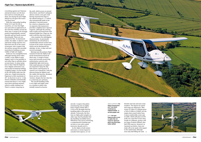ABOVE & OPPOSITE: the Alpha's flowing lines and T tail reflect contemporary sailplane design – it certainly gliges well

RIGHT: full-span flaperons give a most un-glider like roll response. Spamcan pilots may find it feels rather skittish

throttle and trim and note some numbers. The figures for speed and range are impressive. Max cruise of 110kt at 5,100rpm gives a TAS of 120kt at 5,000ft, but the engine does sound rather busy. A more comfortable cruise rpm is 4,600, which still gives an IAS of 90, for a fuel flow of less than 10 lph at 4,500rpm, giving a still air range of almost 400nm, plus DAY-VFR reserves. However, as I pointed out before, there are trade-offs to be made with regard to the useful load, although even only half-filling the tank  $\rightarrow$ 



everything against me! Patience and perseverance are the keys here and we eventually get it done, but during the post-flight debrief we all agree this wasn't our finest hour.

With the cameraship heading home we've got the sky to ourselves, so I start the flight test card with an exploration of the stick-free stability around all three axes. It seems to be strongly positive longitudinally, neutral laterally and just barely neutral directionally. There are two reasons for this. As mentioned earlier, the Alpha is almost a 'pod and boom' design and has very little keel area aft of the centre of pressure; also I suspect that the airflow around the steerable nosewheel is holding on some rudder at high yaw angles.

Stalls are very straightforward, although slowing down takes a while, as the Alpha is quite slippery and it is not possible to use either flap or airbrake above seventy knots. (A minor gripe here is that I find the flaperon lever slightly awkward to use, and would recommend making it slightly longer.) As the needle of the ASI finally sinks into the white arc, I begin lowering the flaperons to their maximum of 25 $\degree$ . As the lever is set to +2 the electric airbrakes automatically extend and there's a very slight nose-down pitching moment, which is easily trimmed out. There's a minor wing drop at

the stall, which occurs at around thirty knots, and there's adequate aileron control, even post-stall. Having retracted the flaps to the takeoff setting of  $+1$  (which also automatically pulls in the airbrakes) I increase power for a look at a departure stall. As expected, this manoeuvre provokes a slightly more vigorous response, although the ensuing stall is easily recovered from with minimal height loss. Flaps up, the stall is still less than forty knots.

I also examine the sideslipping characteristics. As previously mentioned, the aircraft has a considerable amount of keel area in front of the centre of pressure, which can be detrimental for sideslips. In fact, it slips well and recovers promptly.

Moving onto the primary flight controls reveals the Alpha to be nicely harmonised around all three axes. A couple of steep turns and reversals reveal crisp, authoritative controls with delightfully light stick forces. Only small amounts of rudder are required to keep the slipball centred, and harmony of control is as it should be, with the ailerons being the lightest and the rudder the heaviest. Breakout forces are low, with little 'stiction', despite the fact that this is a relatively new airframe.

The overall handling really is very light and might come as a surprise to pilots who initially trained on heavier





aircraft. I suspect that pilots transitioning onto an Alpha from a legacy trainer like a C152 or PA-28 might find the handling light to the point of skittish. Conversely, the first time an Alpha pilot samples an older type they'll probably find the handling incredibly heavy. Whichever way you're converting, a comprehensive briefing and an hour or two with a good instructor should cover it.

As the Alpha is both trainer and tourer, it seems logical to consider both aspects, so I set